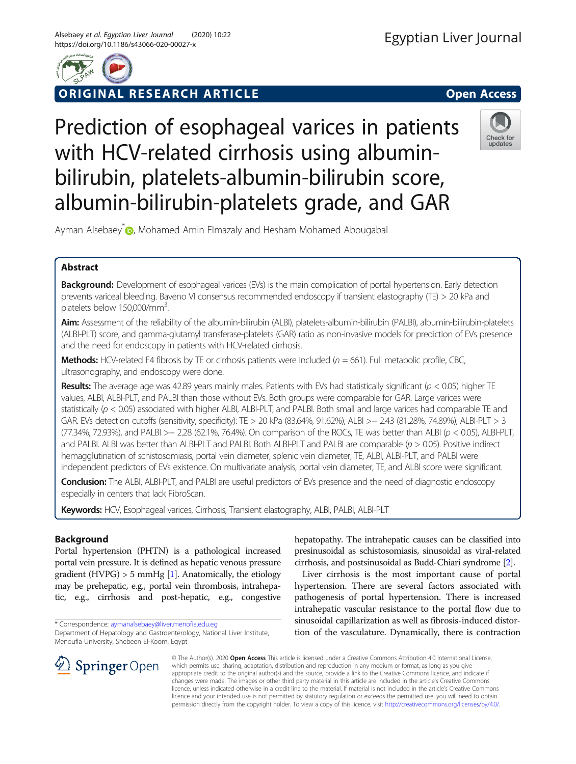

# ORIGINAL RESEARCH ARTICLE **Solution Contract Contract Contract Contract Contract Contract Contract Contract Contract Contract Contract Contract Contract Contract Contract Contract Contract Contract Contract Contract Contra**

# Prediction of esophageal varices in patients with HCV-related cirrhosis using albuminbilirubin, platelets-albumin-bilirubin score, albumin-bilirubin-platelets grade, and GAR



Ayman Alsebaey <sub>(D</sub>, Mohamed Amin Elmazaly and Hesham Mohamed Abougabal

# Abstract

Background: Development of esophageal varices (EVs) is the main complication of portal hypertension. Early detection prevents variceal bleeding. Baveno VI consensus recommended endoscopy if transient elastography (TE) > 20 kPa and platelets below 150,000/mm<sup>3</sup>. .

Aim: Assessment of the reliability of the albumin-bilirubin (ALBI), platelets-albumin-bilirubin (PALBI), albumin-bilirubin-platelets (ALBI-PLT) score, and gamma-glutamyl transferase-platelets (GAR) ratio as non-invasive models for prediction of EVs presence and the need for endoscopy in patients with HCV-related cirrhosis.

Methods: HCV-related F4 fibrosis by TE or cirrhosis patients were included ( $n = 661$ ). Full metabolic profile, CBC, ultrasonography, and endoscopy were done.

Results: The average age was 42.89 years mainly males. Patients with EVs had statistically significant ( $p < 0.05$ ) higher TE values, ALBI, ALBI-PLT, and PALBI than those without EVs. Both groups were comparable for GAR. Large varices were statistically ( $p < 0.05$ ) associated with higher ALBI, ALBI-PLT, and PALBI. Both small and large varices had comparable TE and GAR. EVs detection cutoffs (sensitivity, specificity): TE > 20 kPa (83.64%, 91.62%), ALBI >− 2.43 (81.28%, 74.89%), ALBI-PLT > 3 (77.34%, 72.93%), and PALBI >− 2.28 (62.1%, 76.4%). On comparison of the ROCs, TE was better than ALBI (p < 0.05), ALBI-PLT, and PALBI. ALBI was better than ALBI-PLT and PALBI. Both ALBI-PLT and PALBI are comparable ( $p > 0.05$ ). Positive indirect hemagglutination of schistosomiasis, portal vein diameter, splenic vein diameter, TE, ALBI, ALBI-PLT, and PALBI were independent predictors of EVs existence. On multivariate analysis, portal vein diameter, TE, and ALBI score were significant.

Conclusion: The ALBI, ALBI-PLT, and PALBI are useful predictors of EVs presence and the need of diagnostic endoscopy especially in centers that lack FibroScan.

Keywords: HCV, Esophageal varices, Cirrhosis, Transient elastography, ALBI, PALBI, ALBI-PLT

# Background

Portal hypertension (PHTN) is a pathological increased portal vein pressure. It is defined as hepatic venous pressure gradient (HVPG)  $> 5$  mmHg [[1](#page-6-0)]. Anatomically, the etiology may be prehepatic, e.g., portal vein thrombosis, intrahepatic, e.g., cirrhosis and post-hepatic, e.g., congestive

\* Correspondence: [aymanalsebaey@liver.menofia.edu.eg](mailto:aymanalsebaey@liver.menofia.edu.eg)

Department of Hepatology and Gastroenterology, National Liver Institute, Menoufia University, Shebeen El-Koom, Egypt

hepatopathy. The intrahepatic causes can be classified into presinusoidal as schistosomiasis, sinusoidal as viral-related cirrhosis, and postsinusoidal as Budd-Chiari syndrome [\[2\]](#page-6-0).

Liver cirrhosis is the most important cause of portal hypertension. There are several factors associated with pathogenesis of portal hypertension. There is increased intrahepatic vascular resistance to the portal flow due to sinusoidal capillarization as well as fibrosis-induced distortion of the vasculature. Dynamically, there is contraction



© The Author(s). 2020 Open Access This article is licensed under a Creative Commons Attribution 4.0 International License, which permits use, sharing, adaptation, distribution and reproduction in any medium or format, as long as you give appropriate credit to the original author(s) and the source, provide a link to the Creative Commons licence, and indicate if changes were made. The images or other third party material in this article are included in the article's Creative Commons licence, unless indicated otherwise in a credit line to the material. If material is not included in the article's Creative Commons licence and your intended use is not permitted by statutory regulation or exceeds the permitted use, you will need to obtain permission directly from the copyright holder. To view a copy of this licence, visit <http://creativecommons.org/licenses/by/4.0/>.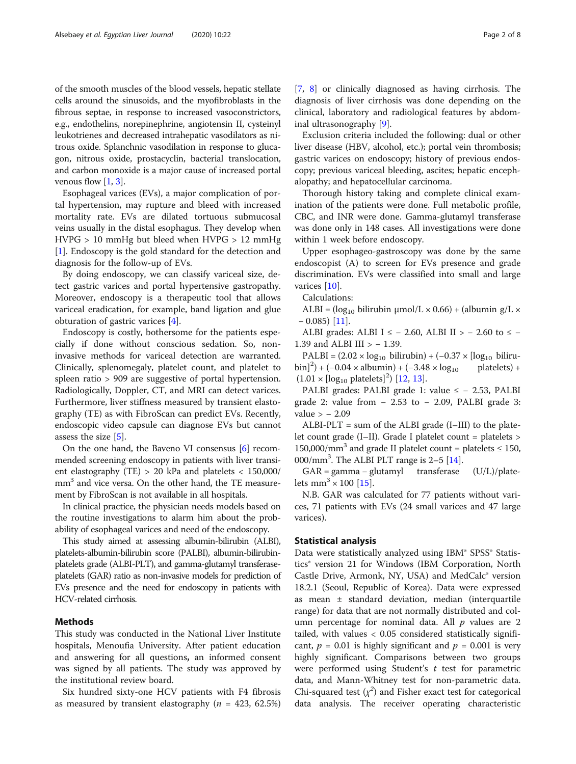of the smooth muscles of the blood vessels, hepatic stellate cells around the sinusoids, and the myofibroblasts in the fibrous septae, in response to increased vasoconstrictors, e.g., endothelins, norepinephrine, angiotensin II, cysteinyl leukotrienes and decreased intrahepatic vasodilators as nitrous oxide. Splanchnic vasodilation in response to glucagon, nitrous oxide, prostacyclin, bacterial translocation, and carbon monoxide is a major cause of increased portal venous flow  $[1, 3]$  $[1, 3]$  $[1, 3]$  $[1, 3]$ .

Esophageal varices (EVs), a major complication of portal hypertension, may rupture and bleed with increased mortality rate. EVs are dilated tortuous submucosal veins usually in the distal esophagus. They develop when HVPG > 10 mmHg but bleed when HVPG > 12 mmHg [[1\]](#page-6-0). Endoscopy is the gold standard for the detection and diagnosis for the follow-up of EVs.

By doing endoscopy, we can classify variceal size, detect gastric varices and portal hypertensive gastropathy. Moreover, endoscopy is a therapeutic tool that allows variceal eradication, for example, band ligation and glue obturation of gastric varices [\[4\]](#page-6-0).

Endoscopy is costly, bothersome for the patients especially if done without conscious sedation. So, noninvasive methods for variceal detection are warranted. Clinically, splenomegaly, platelet count, and platelet to spleen ratio > 909 are suggestive of portal hypertension. Radiologically, Doppler, CT, and MRI can detect varices. Furthermore, liver stiffness measured by transient elastography (TE) as with FibroScan can predict EVs. Recently, endoscopic video capsule can diagnose EVs but cannot assess the size  $[5]$  $[5]$  $[5]$ .

On the one hand, the Baveno VI consensus [\[6](#page-6-0)] recommended screening endoscopy in patients with liver transient elastography (TE) > 20 kPa and platelets < 150,000/ mm<sup>3</sup> and vice versa. On the other hand, the TE measurement by FibroScan is not available in all hospitals.

In clinical practice, the physician needs models based on the routine investigations to alarm him about the probability of esophageal varices and need of the endoscopy.

This study aimed at assessing albumin-bilirubin (ALBI), platelets-albumin-bilirubin score (PALBI), albumin-bilirubinplatelets grade (ALBI-PLT), and gamma-glutamyl transferaseplatelets (GAR) ratio as non-invasive models for prediction of EVs presence and the need for endoscopy in patients with HCV-related cirrhosis.

## Methods

This study was conducted in the National Liver Institute hospitals, Menoufia University. After patient education and answering for all questions, an informed consent was signed by all patients. The study was approved by the institutional review board.

Six hundred sixty-one HCV patients with F4 fibrosis as measured by transient elastography ( $n = 423, 62.5\%$ ) [[7,](#page-6-0) [8](#page-7-0)] or clinically diagnosed as having cirrhosis. The diagnosis of liver cirrhosis was done depending on the clinical, laboratory and radiological features by abdominal ultrasonography [[9\]](#page-7-0).

Exclusion criteria included the following: dual or other liver disease (HBV, alcohol, etc.); portal vein thrombosis; gastric varices on endoscopy; history of previous endoscopy; previous variceal bleeding, ascites; hepatic encephalopathy; and hepatocellular carcinoma.

Thorough history taking and complete clinical examination of the patients were done. Full metabolic profile, CBC, and INR were done. Gamma-glutamyl transferase was done only in 148 cases. All investigations were done within 1 week before endoscopy.

Upper esophageo-gastroscopy was done by the same endoscopist (A) to screen for EVs presence and grade discrimination. EVs were classified into small and large varices [[10](#page-7-0)].

Calculations:

ALBI =  $(log_{10}$  bilirubin  $\mu$ mol/L × 0.66) + (albumin g/L ×  $-$  0.085) [\[11](#page-7-0)].

ALBI grades: ALBI I  $\le$  - 2.60, ALBI II > - 2.60 to  $\le$  -1.39 and ALBI III > - 1.39.

PALBI =  $(2.02 \times \log_{10} \text{ bilirubin}) + (-0.37 \times \log_{10} \text{ biliru-}$  $\[\binom{1}{0} + (-0.04 \times \text{albumin}) + (-3.48 \times \log_{10} \text{platelets}) +$  $(1.01 \times \text{[log}_{10} \text{ platelets}]^2)$  [[12,](#page-7-0) [13\]](#page-7-0).

PALBI grades: PALBI grade 1: value ≤ − 2.53, PALBI grade 2: value from  $-2.53$  to  $-2.09$ , PALBI grade 3: value > − 2.09

 $ALBI-PLT = sum of the ALBI grade (I–III) to the plate$ let count grade (I–II). Grade I platelet count = platelets > 150,000/mm<sup>3</sup> and grade II platelet count = platelets  $\leq$  150, 000/mm<sup>3</sup>. The ALBI PLT range is 2-5 [\[14](#page-7-0)].

GAR = gamma − glutamyl transferase (U/L)/platelets mm<sup>3</sup>  $\times$  100 [\[15\]](#page-7-0).

N.B. GAR was calculated for 77 patients without varices, 71 patients with EVs (24 small varices and 47 large varices).

## Statistical analysis

Data were statistically analyzed using IBM® SPSS® Statistics® version 21 for Windows (IBM Corporation, North Castle Drive, Armonk, NY, USA) and MedCalc® version 18.2.1 (Seoul, Republic of Korea). Data were expressed as mean ± standard deviation, median (interquartile range) for data that are not normally distributed and column percentage for nominal data. All  $p$  values are 2 tailed, with values < 0.05 considered statistically significant,  $p = 0.01$  is highly significant and  $p = 0.001$  is very highly significant. Comparisons between two groups were performed using Student's  $t$  test for parametric data, and Mann-Whitney test for non-parametric data. Chi-squared test  $(\chi^2)$  and Fisher exact test for categorical data analysis. The receiver operating characteristic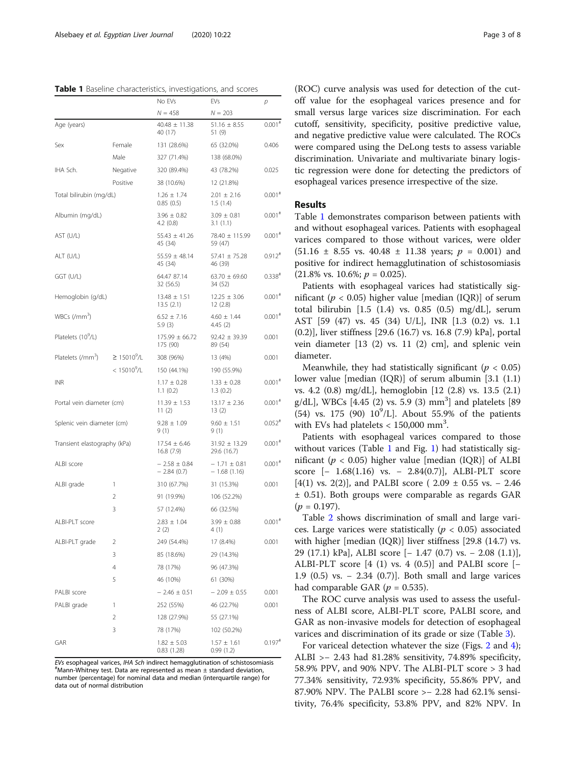Table 1 Baseline characteristics, investigations, and scores

|                                |                   | No EVs                           | EVs                               | р                    |
|--------------------------------|-------------------|----------------------------------|-----------------------------------|----------------------|
|                                |                   | $N = 458$                        | $N = 203$                         |                      |
| Age (years)                    |                   | $40.48 \pm 11.38$<br>40 (17)     | $51.16 \pm 8.55$<br>51 (9)        | $0.001$ <sup>#</sup> |
| Sex                            | Female            | 131 (28.6%)                      | 65 (32.0%)                        | 0.406                |
|                                | Male              | 327 (71.4%)                      | 138 (68.0%)                       |                      |
| IHA Sch.                       | Negative          | 320 (89.4%)                      | 43 (78.2%)                        | 0.025                |
|                                | Positive          | 38 (10.6%)                       | 12 (21.8%)                        |                      |
| Total bilirubin (mg/dL)        |                   | $1.26 \pm 1.74$<br>0.85(0.5)     | $2.01 \pm 2.16$<br>1.5(1.4)       | $0.001$ <sup>#</sup> |
| Albumin (mg/dL)                |                   | $3.96 \pm 0.82$<br>4.2(0.8)      | $3.09 \pm 0.81$<br>3.1(1.1)       | $0.001$ <sup>#</sup> |
| AST (U/L)                      |                   | $55.43 \pm 41.26$<br>45 (34)     | 78.40 ± 115.99<br>59 (47)         | $0.001$ <sup>#</sup> |
| ALT (U/L)                      |                   | $55.59 \pm 48.14$<br>45 (34)     | 57.41 ± 75.28<br>46 (39)          | $0.912$ <sup>#</sup> |
| GGT (U/L)                      |                   | 64.47 87.14<br>32 (56.5)         | $63.70 \pm 69.60$<br>34 (52)      | $0.338*$             |
| Hemoglobin (g/dL)              |                   | $13.48 \pm 1.51$<br>13.5(2.1)    | $12.25 \pm 3.06$<br>12(2.8)       | $0.001$ <sup>#</sup> |
| WBCs (/mm <sup>3</sup> )       |                   | $6.52 \pm 7.16$<br>5.9(3)        | $4.60 \pm 1.44$<br>4.45(2)        | $0.001$ <sup>#</sup> |
| Platelets (10 <sup>9</sup> /L) |                   | $175.99 \pm 66.72$<br>175 (90)   | $92.42 \pm 39.39$<br>89 (54)      | 0.001                |
| Platelets (/mm <sup>3</sup> )  | $\geq 15010^9$ /L | 308 (96%)                        | 13 (4%)                           | 0.001                |
|                                | $< 15010^{9}$ /L  | 150 (44.1%)                      | 190 (55.9%)                       |                      |
| <b>INR</b>                     |                   | $1.17 \pm 0.28$<br>1.1(0.2)      | $1.33 \pm 0.28$<br>1.3(0.2)       | $0.001$ <sup>#</sup> |
| Portal vein diameter (cm)      |                   | $11.39 \pm 1.53$<br>11(2)        | $13.17 \pm 2.36$<br>13(2)         | $0.001$ <sup>#</sup> |
| Splenic vein diameter (cm)     |                   | $9.28 \pm 1.09$<br>9(1)          | $9.60 \pm 1.51$<br>9(1)           | $0.052$ <sup>#</sup> |
| Transient elastography (kPa)   |                   | $17.54 \pm 6.46$<br>16.8 (7.9)   | $31.92 \pm 13.29$<br>29.6 (16.7)  | $0.001$ <sup>#</sup> |
| ALBI score                     |                   | $-2.58 \pm 0.84$<br>$-2.84(0.7)$ | $-1.71 \pm 0.81$<br>$-1.68(1.16)$ | $0.001$ <sup>#</sup> |
| ALBI grade                     | 1                 | 310 (67.7%)                      | 31 (15.3%)                        | 0.001                |
|                                | $\overline{2}$    | 91 (19.9%)                       | 106 (52.2%)                       |                      |
|                                | 3                 | 57 (12.4%)                       | 66 (32.5%)                        |                      |
| ALBI-PLT score                 |                   | $2.83 \pm 1.04$<br>2(2)          | $3.99 \pm 0.88$<br>4 (1)          | $0.001$ <sup>#</sup> |
| ALBI-PLT grade                 | 2                 | 249 (54.4%)                      | 17 (8.4%)                         | 0.001                |
|                                | 3                 | 85 (18.6%)                       | 29 (14.3%)                        |                      |
|                                | 4                 | 78 (17%)                         | 96 (47.3%)                        |                      |
|                                | 5                 | 46 (10%)                         | 61 (30%)                          |                      |
| PALBI score                    |                   | $-2.46 \pm 0.51$                 | $-2.09 \pm 0.55$                  | 0.001                |
| PALBI grade                    | 1                 | 252 (55%)                        | 46 (22.7%)                        | 0.001                |
|                                | 2                 | 128 (27.9%)                      | 55 (27.1%)                        |                      |
|                                | 3                 | 78 (17%)                         | 102 (50.2%)                       |                      |
| GAR                            |                   | $1.82 \pm 5.03$<br>0.83 (1.28)   | $1.57 \pm 1.61$<br>0.99(1.2)      | $0.197*$             |

EVs esophageal varices, IHA Sch indirect hemagglutination of schistosomiasis #  $*$ Mann-Whitney test. Data are represented as mean  $\pm$  standard deviation number (percentage) for nominal data and median (interquartile range) for data out of normal distribution

(ROC) curve analysis was used for detection of the cutoff value for the esophageal varices presence and for small versus large varices size discrimination. For each cutoff, sensitivity, specificity, positive predictive value, and negative predictive value were calculated. The ROCs were compared using the DeLong tests to assess variable discrimination. Univariate and multivariate binary logistic regression were done for detecting the predictors of esophageal varices presence irrespective of the size.

### Results

Table 1 demonstrates comparison between patients with and without esophageal varices. Patients with esophageal varices compared to those without varices, were older  $(51.16 \pm 8.55 \text{ vs. } 40.48 \pm 11.38 \text{ years}; p = 0.001)$  and positive for indirect hemagglutination of schistosomiasis  $(21.8\% \text{ vs. } 10.6\%; p = 0.025).$ 

Patients with esophageal varices had statistically significant ( $p < 0.05$ ) higher value [median (IOR)] of serum total bilirubin [1.5 (1.4) vs. 0.85 (0.5) mg/dL], serum AST [59 (47) vs. 45 (34) U/L], INR [1.3 (0.2) vs. 1.1 (0.2)], liver stiffness [29.6 (16.7) vs. 16.8 (7.9) kPa], portal vein diameter [13 (2) vs. 11 (2) cm], and splenic vein diameter.

Meanwhile, they had statistically significant ( $p < 0.05$ ) lower value [median (IQR)] of serum albumin [3.1 (1.1) vs. 4.2 (0.8) mg/dL], hemoglobin [12 (2.8) vs. 13.5 (2.1) g/dL], WBCs [4.45 (2) vs. 5.9 (3) mm<sup>3</sup>] and platelets [89  $(54)$  vs. 175 (90)  $10^9$ /L]. About 55.9% of the patients with EVs had platelets  $< 150,000$  mm<sup>3</sup>.

Patients with esophageal varices compared to those without varices (Table [1](#page-3-0) and Fig. 1) had statistically significant ( $p < 0.05$ ) higher value [median (IQR)] of ALBI score [- 1.68(1.16) vs. − 2.84(0.7)], ALBI-PLT score [4(1) vs. 2(2)], and PALBI score ( $2.09 \pm 0.55$  vs. – 2.46 ± 0.51). Both groups were comparable as regards GAR  $(p = 0.197)$ .

Table [2](#page-3-0) shows discrimination of small and large varices. Large varices were statistically ( $p < 0.05$ ) associated with higher [median (IQR)] liver stiffness [29.8 (14.7) vs. 29 (17.1) kPa], ALBI score [− 1.47 (0.7) vs. − 2.08 (1.1)], ALBI-PLT score  $[4 (1)$  vs. 4  $(0.5)$ ] and PALBI score  $[-$ 1.9 (0.5) vs. − 2.34 (0.7)]. Both small and large varices had comparable GAR ( $p = 0.535$ ).

The ROC curve analysis was used to assess the usefulness of ALBI score, ALBI-PLT score, PALBI score, and GAR as non-invasive models for detection of esophageal varices and discrimination of its grade or size (Table [3\)](#page-3-0).

For variceal detection whatever the size (Figs. [2](#page-4-0) and [4](#page-5-0)); ALBI >− 2.43 had 81.28% sensitivity, 74.89% specificity, 58.9% PPV, and 90% NPV. The ALBI-PLT score > 3 had 77.34% sensitivity, 72.93% specificity, 55.86% PPV, and 87.90% NPV. The PALBI score >− 2.28 had 62.1% sensitivity, 76.4% specificity, 53.8% PPV, and 82% NPV. In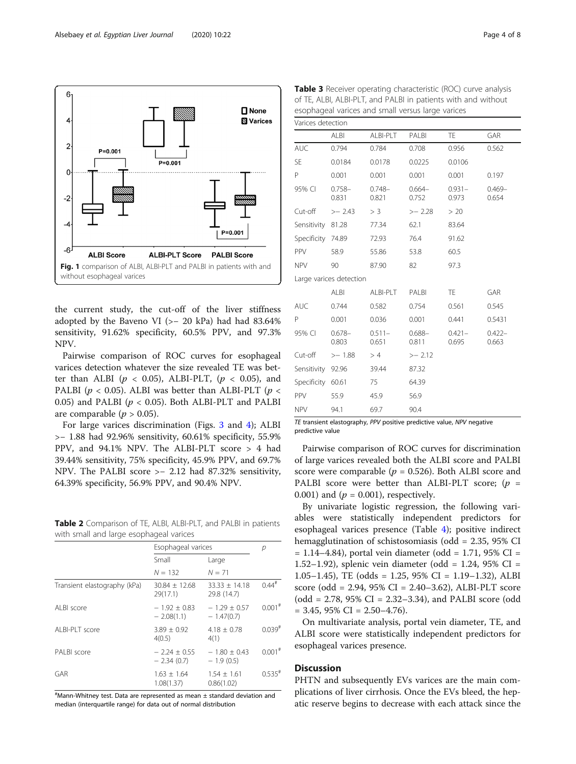<span id="page-3-0"></span>

the current study, the cut-off of the liver stiffness adopted by the Baveno VI (>− 20 kPa) had had 83.64% sensitivity, 91.62% specificity, 60.5% PPV, and 97.3% NPV.

Pairwise comparison of ROC curves for esophageal varices detection whatever the size revealed TE was better than ALBI ( $p < 0.05$ ), ALBI-PLT, ( $p < 0.05$ ), and PALBI ( $p < 0.05$ ). ALBI was better than ALBI-PLT ( $p <$ 0.05) and PALBI ( $p < 0.05$ ). Both ALBI-PLT and PALBI are comparable ( $p > 0.05$ ).

For large varices discrimination (Figs. [3](#page-4-0) and [4\)](#page-5-0); ALBI >− 1.88 had 92.96% sensitivity, 60.61% specificity, 55.9% PPV, and 94.1% NPV. The ALBI-PLT score > 4 had 39.44% sensitivity, 75% specificity, 45.9% PPV, and 69.7% NPV. The PALBI score >− 2.12 had 87.32% sensitivity, 64.39% specificity, 56.9% PPV, and 90.4% NPV.

Table 2 Comparison of TE, ALBI, ALBI-PLT, and PALBI in patients with small and large esophageal varices

|                              | Esophageal varices             |                                | р                    |
|------------------------------|--------------------------------|--------------------------------|----------------------|
|                              | Small                          | Large                          |                      |
|                              | $N = 132$                      | $N = 71$                       |                      |
| Transient elastography (kPa) | $30.84 + 12.68$<br>29(17.1)    | $33.33 + 14.18$<br>29.8 (14.7) | $0.44$ <sup>#</sup>  |
| Al BI score                  | $-1.92 + 0.83$<br>$-2.08(1.1)$ | $-1.29 + 0.57$<br>$-1.47(0.7)$ | $0.001$ <sup>#</sup> |
| ALBI-PLT score               | $3.89 + 0.92$<br>4(0.5)        | $4.18 + 0.78$<br>4(1)          | $0.039^{#}$          |
| PALBI score                  | $-2.24 + 0.55$<br>$-2.34(0.7)$ | $-1.80 + 0.43$<br>$-1.9(0.5)$  | $0.001$ <sup>#</sup> |
| GAR                          | $1.63 \pm 1.64$<br>1.08(1.37)  | $1.54 + 1.61$<br>0.86(1.02)    | $0.535$ <sup>#</sup> |

 $^{\#}$ Mann-Whitney test. Data are represented as mean  $\pm$  standard deviation and median (interquartile range) for data out of normal distribution

|                   |                         |                    | coophagear variets and sinah versas large vances |                    |                    |
|-------------------|-------------------------|--------------------|--------------------------------------------------|--------------------|--------------------|
| Varices detection |                         |                    |                                                  |                    |                    |
|                   | <b>ALBI</b>             | ALBI-PLT           | PALBI                                            | TE.                | <b>GAR</b>         |
| <b>AUC</b>        | 0.794                   | 0.784              | 0.708                                            | 0.956              | 0.562              |
| <b>SE</b>         | 0.0184                  | 0.0178             | 0.0225                                           | 0.0106             |                    |
| P                 | 0.001                   | 0.001              | 0.001                                            | 0.001              | 0.197              |
| 95% CI            | $0.758 -$<br>0.831      | $0.748 -$<br>0.821 | $0.664-$<br>0.752                                | $0.931 -$<br>0.973 | $0.469 -$<br>0.654 |
| Cut-off           | $>-2.43$                | > 3                | $>-2.28$                                         | > 20               |                    |
| Sensitivity       | 81.28                   | 77.34              | 62.1                                             | 83.64              |                    |
| Specificity 74.89 |                         | 72.93              | 76.4                                             | 91.62              |                    |
| PPV               | 58.9                    | 55.86              | 53.8                                             | 60.5               |                    |
| <b>NPV</b>        | 90                      | 87.90              | 82                                               | 97.3               |                    |
|                   | Large varices detection |                    |                                                  |                    |                    |
|                   | ALBI                    | ALBI-PLT           | PALBI                                            | <b>TE</b>          | GAR                |
| <b>AUC</b>        | 0.744                   | 0.582              | 0.754                                            | 0.561              | 0.545              |
| P                 | 0.001                   | 0.036              | 0.001                                            | 0.441              | 0.5431             |
| 95% CI            | $0.678 -$<br>0.803      | $0.511 -$<br>0.651 | $0.688 -$<br>0.811                               | $0.421 -$<br>0.695 | $0.422 -$<br>0.663 |
| Cut-off           | $>-1.88$                | >4                 | >–2.12                                           |                    |                    |
| Sensitivity       | 92.96                   | 39.44              | 87.32                                            |                    |                    |

Table 3 Receiver operating characteristic (ROC) curve analysis of TE, ALBI, ALBI-PLT, and PALBI in patients with and without esophageal varices and small versus large varices

TE transient elastography, PPV positive predictive value, NPV negative predictive value

Specificity 60.61 75 64.39 PPV 55.9 45.9 56.9 NPV 94.1 69.7 90.4

Pairwise comparison of ROC curves for discrimination of large varices revealed both the ALBI score and PALBI score were comparable ( $p = 0.526$ ). Both ALBI score and PALBI score were better than ALBI-PLT score;  $(p =$ 0.001) and  $(p = 0.001)$ , respectively.

By univariate logistic regression, the following variables were statistically independent predictors for esophageal varices presence (Table [4\)](#page-5-0); positive indirect hemagglutination of schistosomiasis (odd = 2.35, 95% CI  $= 1.14 - 4.84$ ), portal vein diameter (odd  $= 1.71$ , 95% CI = 1.52–1.92), splenic vein diameter (odd = 1.24, 95% CI = 1.05–1.45), TE (odds = 1.25, 95% CI = 1.19–1.32), ALBI score (odd = 2.94, 95% CI = 2.40–3.62), ALBI-PLT score (odd = 2.78, 95% CI = 2.32–3.34), and PALBI score (odd  $= 3.45, 95\% \text{ CI} = 2.50 - 4.76.$ 

On multivariate analysis, portal vein diameter, TE, and ALBI score were statistically independent predictors for esophageal varices presence.

## **Discussion**

PHTN and subsequently EVs varices are the main complications of liver cirrhosis. Once the EVs bleed, the hepatic reserve begins to decrease with each attack since the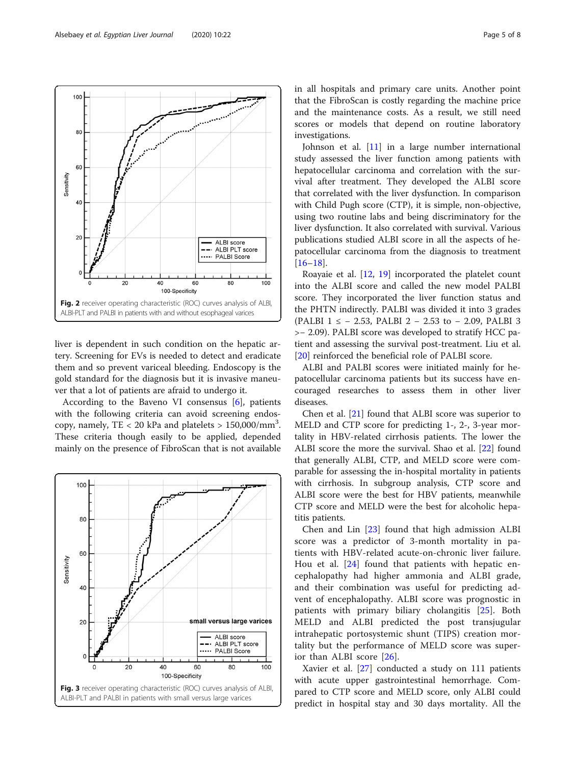<span id="page-4-0"></span>

liver is dependent in such condition on the hepatic artery. Screening for EVs is needed to detect and eradicate them and so prevent variceal bleeding. Endoscopy is the gold standard for the diagnosis but it is invasive maneuver that a lot of patients are afraid to undergo it.

According to the Baveno VI consensus [\[6](#page-6-0)], patients with the following criteria can avoid screening endoscopy, namely, TE < 20 kPa and platelets >  $150,000/\text{mm}^3$ . These criteria though easily to be applied, depended mainly on the presence of FibroScan that is not available



in all hospitals and primary care units. Another point that the FibroScan is costly regarding the machine price and the maintenance costs. As a result, we still need scores or models that depend on routine laboratory investigations.

Johnson et al. [\[11\]](#page-7-0) in a large number international study assessed the liver function among patients with hepatocellular carcinoma and correlation with the survival after treatment. They developed the ALBI score that correlated with the liver dysfunction. In comparison with Child Pugh score (CTP), it is simple, non-objective, using two routine labs and being discriminatory for the liver dysfunction. It also correlated with survival. Various publications studied ALBI score in all the aspects of hepatocellular carcinoma from the diagnosis to treatment  $[16–18]$  $[16–18]$  $[16–18]$  $[16–18]$  $[16–18]$ .

Roayaie et al. [[12](#page-7-0), [19](#page-7-0)] incorporated the platelet count into the ALBI score and called the new model PALBI score. They incorporated the liver function status and the PHTN indirectly. PALBI was divided it into 3 grades (PALBI 1 ≤ − 2.53, PALBI 2 − 2.53 to − 2.09, PALBI 3 >− 2.09). PALBI score was developed to stratify HCC patient and assessing the survival post-treatment. Liu et al. [[20\]](#page-7-0) reinforced the beneficial role of PALBI score.

ALBI and PALBI scores were initiated mainly for hepatocellular carcinoma patients but its success have encouraged researches to assess them in other liver diseases.

Chen et al. [[21\]](#page-7-0) found that ALBI score was superior to MELD and CTP score for predicting 1-, 2-, 3-year mortality in HBV-related cirrhosis patients. The lower the ALBI score the more the survival. Shao et al. [\[22](#page-7-0)] found that generally ALBI, CTP, and MELD score were comparable for assessing the in-hospital mortality in patients with cirrhosis. In subgroup analysis, CTP score and ALBI score were the best for HBV patients, meanwhile CTP score and MELD were the best for alcoholic hepatitis patients.

Chen and Lin [\[23\]](#page-7-0) found that high admission ALBI score was a predictor of 3-month mortality in patients with HBV-related acute-on-chronic liver failure. Hou et al. [[24\]](#page-7-0) found that patients with hepatic encephalopathy had higher ammonia and ALBI grade, and their combination was useful for predicting advent of encephalopathy. ALBI score was prognostic in patients with primary biliary cholangitis [[25\]](#page-7-0). Both MELD and ALBI predicted the post transjugular intrahepatic portosystemic shunt (TIPS) creation mortality but the performance of MELD score was superior than ALBI score [[26\]](#page-7-0).

Xavier et al. [\[27](#page-7-0)] conducted a study on 111 patients with acute upper gastrointestinal hemorrhage. Compared to CTP score and MELD score, only ALBI could predict in hospital stay and 30 days mortality. All the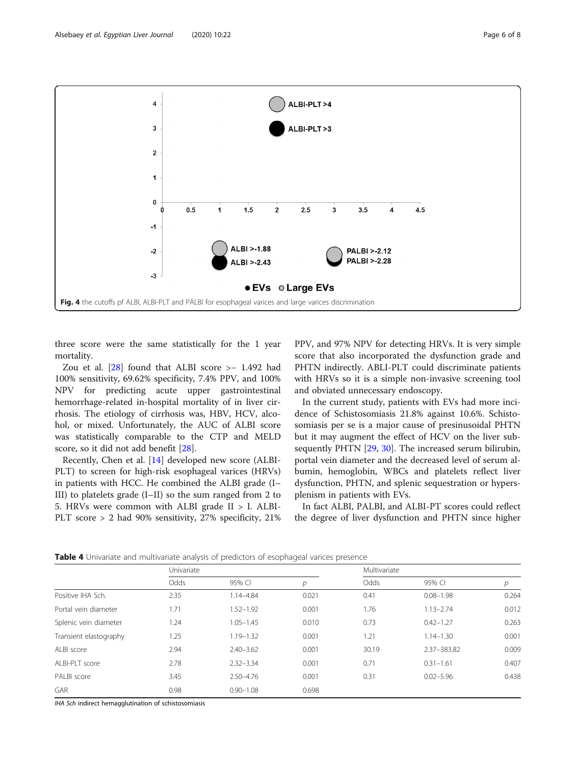<span id="page-5-0"></span>

three score were the same statistically for the 1 year mortality.

Zou et al. [[28\]](#page-7-0) found that ALBI score >− 1.492 had 100% sensitivity, 69.62% specificity, 7.4% PPV, and 100% NPV for predicting acute upper gastrointestinal hemorrhage-related in-hospital mortality of in liver cirrhosis. The etiology of cirrhosis was, HBV, HCV, alcohol, or mixed. Unfortunately, the AUC of ALBI score was statistically comparable to the CTP and MELD score, so it did not add benefit [\[28\]](#page-7-0).

Recently, Chen et al. [[14\]](#page-7-0) developed new score (ALBI-PLT) to screen for high-risk esophageal varices (HRVs) in patients with HCC. He combined the ALBI grade (I– III) to platelets grade (I–II) so the sum ranged from 2 to 5. HRVs were common with ALBI grade II > I. ALBI-PLT score > 2 had 90% sensitivity, 27% specificity, 21% PPV, and 97% NPV for detecting HRVs. It is very simple score that also incorporated the dysfunction grade and PHTN indirectly. ABLI-PLT could discriminate patients with HRVs so it is a simple non-invasive screening tool and obviated unnecessary endoscopy.

In the current study, patients with EVs had more incidence of Schistosomiasis 21.8% against 10.6%. Schistosomiasis per se is a major cause of presinusoidal PHTN but it may augment the effect of HCV on the liver subsequently PHTN [[29](#page-7-0), [30](#page-7-0)]. The increased serum bilirubin, portal vein diameter and the decreased level of serum albumin, hemoglobin, WBCs and platelets reflect liver dysfunction, PHTN, and splenic sequestration or hypersplenism in patients with EVs.

In fact ALBI, PALBI, and ALBI-PT scores could reflect the degree of liver dysfunction and PHTN since higher

Table 4 Univariate and multivariate analysis of predictors of esophageal varices presence

|                        | Univariate |               |       | Multivariate |               |       |
|------------------------|------------|---------------|-------|--------------|---------------|-------|
|                        | Odds       | 95% CI        | р     | Odds         | 95% CI        | р     |
| Positive IHA Sch.      | 2.35       | 1.14-4.84     | 0.021 | 0.41         | $0.08 - 1.98$ | 0.264 |
| Portal vein diameter   | 1.71       | $1.52 - 1.92$ | 0.001 | 1.76         | $1.13 - 2.74$ | 0.012 |
| Splenic vein diameter  | 1.24       | $1.05 - 1.45$ | 0.010 | 0.73         | $0.42 - 1.27$ | 0.263 |
| Transient elastography | 1.25       | $1.19 - 1.32$ | 0.001 | 1.21         | $1.14 - 1.30$ | 0.001 |
| ALBI score             | 2.94       | $2.40 - 3.62$ | 0.001 | 30.19        | 2.37-383.82   | 0.009 |
| ALBI-PLT score         | 2.78       | $2.32 - 3.34$ | 0.001 | 0.71         | $0.31 - 1.61$ | 0.407 |
| PAI BI score           | 3.45       | $2.50 - 4.76$ | 0.001 | 0.31         | $0.02 - 5.96$ | 0.438 |
| <b>GAR</b>             | 0.98       | $0.90 - 1.08$ | 0.698 |              |               |       |

IHA Sch indirect hemagglutination of schistosomiasis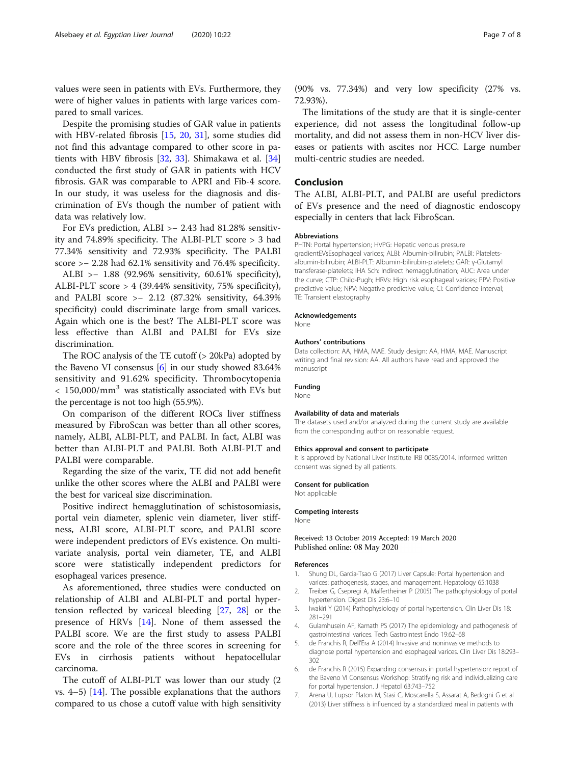<span id="page-6-0"></span>values were seen in patients with EVs. Furthermore, they were of higher values in patients with large varices compared to small varices.

Despite the promising studies of GAR value in patients with HBV-related fibrosis [\[15,](#page-7-0) [20,](#page-7-0) [31](#page-7-0)], some studies did not find this advantage compared to other score in patients with HBV fibrosis [\[32](#page-7-0), [33\]](#page-7-0). Shimakawa et al. [[34](#page-7-0)] conducted the first study of GAR in patients with HCV fibrosis. GAR was comparable to APRI and Fib-4 score. In our study, it was useless for the diagnosis and discrimination of EVs though the number of patient with data was relatively low.

For EVs prediction, ALBI >− 2.43 had 81.28% sensitivity and 74.89% specificity. The ALBI-PLT score > 3 had 77.34% sensitivity and 72.93% specificity. The PALBI score >− 2.28 had 62.1% sensitivity and 76.4% specificity.

ALBI >− 1.88 (92.96% sensitivity, 60.61% specificity), ALBI-PLT score > 4 (39.44% sensitivity, 75% specificity), and PALBI score >− 2.12 (87.32% sensitivity, 64.39% specificity) could discriminate large from small varices. Again which one is the best? The ALBI-PLT score was less effective than ALBI and PALBI for EVs size discrimination.

The ROC analysis of the TE cutoff (> 20kPa) adopted by the Baveno VI consensus [6] in our study showed 83.64% sensitivity and 91.62% specificity. Thrombocytopenia  $< 150,000/\text{mm}^3$  was statistically associated with EVs but the percentage is not too high (55.9%).

On comparison of the different ROCs liver stiffness measured by FibroScan was better than all other scores, namely, ALBI, ALBI-PLT, and PALBI. In fact, ALBI was better than ALBI-PLT and PALBI. Both ALBI-PLT and PALBI were comparable.

Regarding the size of the varix, TE did not add benefit unlike the other scores where the ALBI and PALBI were the best for variceal size discrimination.

Positive indirect hemagglutination of schistosomiasis, portal vein diameter, splenic vein diameter, liver stiffness, ALBI score, ALBI-PLT score, and PALBI score were independent predictors of EVs existence. On multivariate analysis, portal vein diameter, TE, and ALBI score were statistically independent predictors for esophageal varices presence.

As aforementioned, three studies were conducted on relationship of ALBI and ALBI-PLT and portal hypertension reflected by variceal bleeding [\[27](#page-7-0), [28\]](#page-7-0) or the presence of HRVs [\[14](#page-7-0)]. None of them assessed the PALBI score. We are the first study to assess PALBI score and the role of the three scores in screening for EVs in cirrhosis patients without hepatocellular carcinoma.

The cutoff of ALBI-PLT was lower than our study (2 vs.  $4-5$ ) [[14\]](#page-7-0). The possible explanations that the authors compared to us chose a cutoff value with high sensitivity

(90% vs. 77.34%) and very low specificity (27% vs. 72.93%).

The limitations of the study are that it is single-center experience, did not assess the longitudinal follow-up mortality, and did not assess them in non-HCV liver diseases or patients with ascites nor HCC. Large number multi-centric studies are needed.

#### Conclusion

The ALBI, ALBI-PLT, and PALBI are useful predictors of EVs presence and the need of diagnostic endoscopy especially in centers that lack FibroScan.

#### Abbreviations

PHTN: Portal hypertension; HVPG: Hepatic venous pressure gradientEVsEsophageal varices; ALBI: Albumin-bilirubin; PALBI: Plateletsalbumin-bilirubin; ALBI-PLT: Albumin-bilirubin-platelets; GAR: γ-Glutamyl transferase-platelets; IHA Sch: Indirect hemagglutination; AUC: Area under the curve; CTP: Child-Pugh; HRVs: High risk esophageal varices; PPV: Positive predictive value; NPV: Negative predictive value; CI: Confidence interval; TE: Transient elastography

#### Acknowledgements

None

#### Authors' contributions

Data collection: AA, HMA, MAE. Study design: AA, HMA, MAE. Manuscript writing and final revision: AA. All authors have read and approved the manuscript

#### Funding

None

#### Availability of data and materials

The datasets used and/or analyzed during the current study are available from the corresponding author on reasonable request.

#### Ethics approval and consent to participate

It is approved by National Liver Institute IRB 0085/2014. Informed written consent was signed by all patients.

#### Consent for publication

Not applicable

#### Competing interests

None

#### Received: 13 October 2019 Accepted: 19 March 2020 Published online: 08 May 2020

#### References

- 1. Shung DL, Garcia-Tsao G (2017) Liver Capsule: Portal hypertension and varices: pathogenesis, stages, and management. Hepatology 65:1038
- 2. Treiber G, Csepregi A, Malfertheiner P (2005) The pathophysiology of portal hypertension. Digest Dis 23:6–10
- 3. Iwakiri Y (2014) Pathophysiology of portal hypertension. Clin Liver Dis 18: 281–291
- 4. Gulamhusein AF, Kamath PS (2017) The epidemiology and pathogenesis of gastrointestinal varices. Tech Gastrointest Endo 19:62–68
- 5. de Franchis R, Dell'Era A (2014) Invasive and noninvasive methods to diagnose portal hypertension and esophageal varices. Clin Liver Dis 18:293– 302
- 6. de Franchis R (2015) Expanding consensus in portal hypertension: report of the Baveno VI Consensus Workshop: Stratifying risk and individualizing care for portal hypertension. J Hepatol 63:743–752
- 7. Arena U, Lupsor Platon M, Stasi C, Moscarella S, Assarat A, Bedogni G et al (2013) Liver stiffness is influenced by a standardized meal in patients with